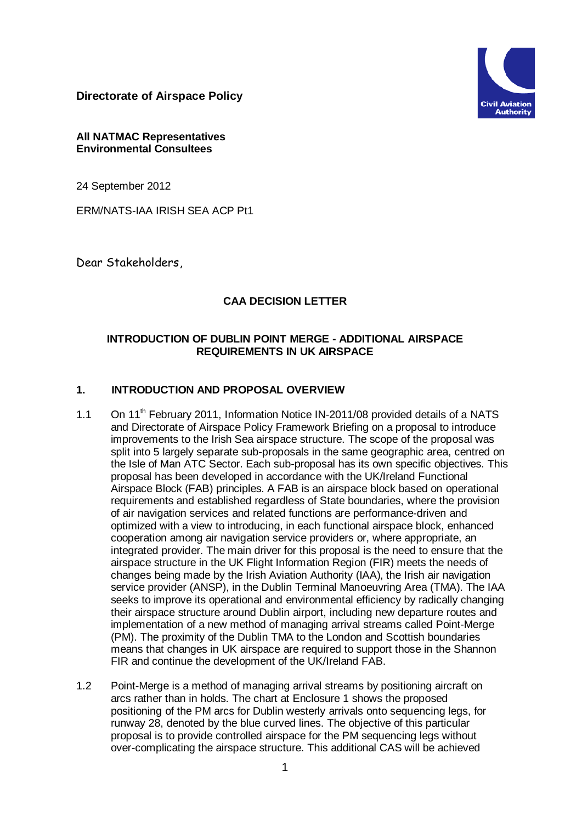**Directorate of Airspace Policy**



#### **All NATMAC Representatives Environmental Consultees**

24 September 2012

ERM/NATS-IAA IRISH SEA ACP Pt1

Dear Stakeholders,

## **CAA DECISION LETTER**

#### **INTRODUCTION OF DUBLIN POINT MERGE - ADDITIONAL AIRSPACE REQUIREMENTS IN UK AIRSPACE**

# **1. INTRODUCTION AND PROPOSAL OVERVIEW**

- 1.1 On 11<sup>th</sup> February 2011, Information Notice IN-2011/08 provided details of a NATS and Directorate of Airspace Policy Framework Briefing on a proposal to introduce improvements to the Irish Sea airspace structure. The scope of the proposal was split into 5 largely separate sub-proposals in the same geographic area, centred on the Isle of Man ATC Sector. Each sub-proposal has its own specific objectives. This proposal has been developed in accordance with the UK/Ireland Functional Airspace Block (FAB) principles. A FAB is an airspace block based on operational requirements and established regardless of State boundaries, where the provision of air navigation services and related functions are performance-driven and optimized with a view to introducing, in each functional airspace block, enhanced cooperation among air navigation service providers or, where appropriate, an integrated provider. The main driver for this proposal is the need to ensure that the airspace structure in the UK Flight Information Region (FIR) meets the needs of changes being made by the Irish Aviation Authority (IAA), the Irish air navigation service provider (ANSP), in the Dublin Terminal Manoeuvring Area (TMA). The IAA seeks to improve its operational and environmental efficiency by radically changing their airspace structure around Dublin airport, including new departure routes and implementation of a new method of managing arrival streams called Point-Merge (PM). The proximity of the Dublin TMA to the London and Scottish boundaries means that changes in UK airspace are required to support those in the Shannon FIR and continue the development of the UK/Ireland FAB.
- 1.2 Point-Merge is a method of managing arrival streams by positioning aircraft on arcs rather than in holds. The chart at Enclosure 1 shows the proposed positioning of the PM arcs for Dublin westerly arrivals onto sequencing legs, for runway 28, denoted by the blue curved lines. The objective of this particular proposal is to provide controlled airspace for the PM sequencing legs without over-complicating the airspace structure. This additional CAS will be achieved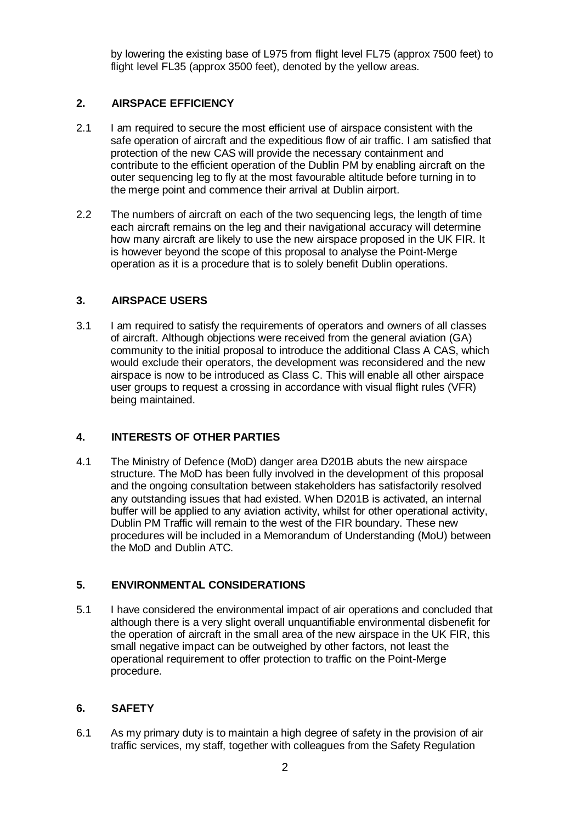by lowering the existing base of L975 from flight level FL75 (approx 7500 feet) to flight level FL35 (approx 3500 feet), denoted by the yellow areas.

## **2. AIRSPACE EFFICIENCY**

- 2.1 I am required to secure the most efficient use of airspace consistent with the safe operation of aircraft and the expeditious flow of air traffic. I am satisfied that protection of the new CAS will provide the necessary containment and contribute to the efficient operation of the Dublin PM by enabling aircraft on the outer sequencing leg to fly at the most favourable altitude before turning in to the merge point and commence their arrival at Dublin airport.
- 2.2 The numbers of aircraft on each of the two sequencing legs, the length of time each aircraft remains on the leg and their navigational accuracy will determine how many aircraft are likely to use the new airspace proposed in the UK FIR. It is however beyond the scope of this proposal to analyse the Point-Merge operation as it is a procedure that is to solely benefit Dublin operations.

## **3. AIRSPACE USERS**

3.1 I am required to satisfy the requirements of operators and owners of all classes of aircraft. Although objections were received from the general aviation (GA) community to the initial proposal to introduce the additional Class A CAS, which would exclude their operators, the development was reconsidered and the new airspace is now to be introduced as Class C. This will enable all other airspace user groups to request a crossing in accordance with visual flight rules (VFR) being maintained.

## **4. INTERESTS OF OTHER PARTIES**

4.1 The Ministry of Defence (MoD) danger area D201B abuts the new airspace structure. The MoD has been fully involved in the development of this proposal and the ongoing consultation between stakeholders has satisfactorily resolved any outstanding issues that had existed. When D201B is activated, an internal buffer will be applied to any aviation activity, whilst for other operational activity, Dublin PM Traffic will remain to the west of the FIR boundary. These new procedures will be included in a Memorandum of Understanding (MoU) between the MoD and Dublin ATC.

## **5. ENVIRONMENTAL CONSIDERATIONS**

5.1 I have considered the environmental impact of air operations and concluded that although there is a very slight overall unquantifiable environmental disbenefit for the operation of aircraft in the small area of the new airspace in the UK FIR, this small negative impact can be outweighed by other factors, not least the operational requirement to offer protection to traffic on the Point-Merge procedure.

## **6. SAFETY**

6.1 As my primary duty is to maintain a high degree of safety in the provision of air traffic services, my staff, together with colleagues from the Safety Regulation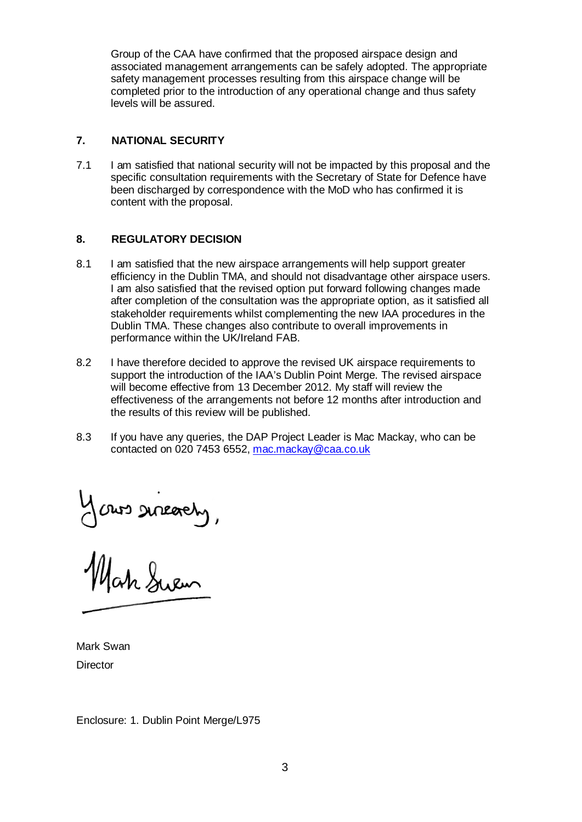Group of the CAA have confirmed that the proposed airspace design and associated management arrangements can be safely adopted. The appropriate safety management processes resulting from this airspace change will be completed prior to the introduction of any operational change and thus safety levels will be assured.

#### **7. NATIONAL SECURITY**

7.1 I am satisfied that national security will not be impacted by this proposal and the specific consultation requirements with the Secretary of State for Defence have been discharged by correspondence with the MoD who has confirmed it is content with the proposal.

#### **8. REGULATORY DECISION**

- 8.1 I am satisfied that the new airspace arrangements will help support greater efficiency in the Dublin TMA, and should not disadvantage other airspace users. I am also satisfied that the revised option put forward following changes made after completion of the consultation was the appropriate option, as it satisfied all stakeholder requirements whilst complementing the new IAA procedures in the Dublin TMA. These changes also contribute to overall improvements in performance within the UK/Ireland FAB.
- 8.2 I have therefore decided to approve the revised UK airspace requirements to support the introduction of the IAA's Dublin Point Merge. The revised airspace will become effective from 13 December 2012. My staff will review the effectiveness of the arrangements not before 12 months after introduction and the results of this review will be published.
- 8.3 If you have any queries, the DAP Project Leader is Mac Mackay, who can be contacted on 020 7453 6552, [mac.mackay@caa.co.uk](mailto:mac.mackay@caa.co.uk)

Your sineachy,

Mark Swan **Director** 

Enclosure: 1. Dublin Point Merge/L975